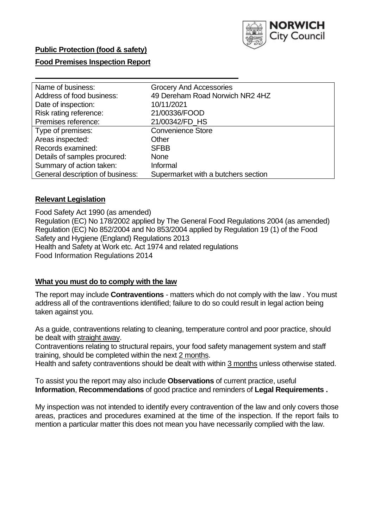

### **Food Premises Inspection Report**

| Name of business:                | <b>Grocery And Accessories</b>      |
|----------------------------------|-------------------------------------|
| Address of food business:        | 49 Dereham Road Norwich NR2 4HZ     |
| Date of inspection:              | 10/11/2021                          |
| Risk rating reference:           | 21/00336/FOOD                       |
| Premises reference:              | 21/00342/FD_HS                      |
| Type of premises:                | <b>Convenience Store</b>            |
| Areas inspected:                 | Other                               |
| Records examined:                | <b>SFBB</b>                         |
| Details of samples procured:     | <b>None</b>                         |
| Summary of action taken:         | Informal                            |
| General description of business: | Supermarket with a butchers section |

### **Relevant Legislation**

 Food Safety Act 1990 (as amended) Regulation (EC) No 178/2002 applied by The General Food Regulations 2004 (as amended) Regulation (EC) No 852/2004 and No 853/2004 applied by Regulation 19 (1) of the Food Safety and Hygiene (England) Regulations 2013 Health and Safety at Work etc. Act 1974 and related regulations Food Information Regulations 2014

#### **What you must do to comply with the law**

 The report may include **Contraventions** - matters which do not comply with the law . You must address all of the contraventions identified; failure to do so could result in legal action being taken against you.

 As a guide, contraventions relating to cleaning, temperature control and poor practice, should be dealt with straight away.

 Contraventions relating to structural repairs, your food safety management system and staff training, should be completed within the next 2 months.

Health and safety contraventions should be dealt with within 3 months unless otherwise stated.

 To assist you the report may also include **Observations** of current practice, useful **Information**, **Recommendations** of good practice and reminders of **Legal Requirements .** 

 My inspection was not intended to identify every contravention of the law and only covers those areas, practices and procedures examined at the time of the inspection. If the report fails to mention a particular matter this does not mean you have necessarily complied with the law.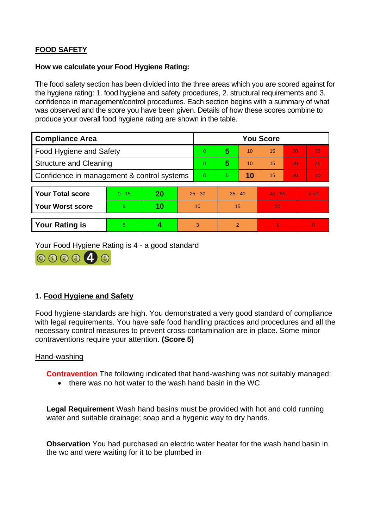# **FOOD SAFETY**

### **How we calculate your Food Hygiene Rating:**

 The food safety section has been divided into the three areas which you are scored against for the hygiene rating: 1. food hygiene and safety procedures, 2. structural requirements and 3. confidence in management/control procedures. Each section begins with a summary of what was observed and the score you have been given. Details of how these scores combine to produce your overall food hygiene rating are shown in the table.

| <b>Compliance Area</b>                     |          |    |                | <b>You Score</b> |                |    |           |    |                |  |  |
|--------------------------------------------|----------|----|----------------|------------------|----------------|----|-----------|----|----------------|--|--|
| Food Hygiene and Safety                    |          |    |                | $\Omega$         | 5              | 10 | 15        | 20 | 25             |  |  |
| <b>Structure and Cleaning</b>              |          |    | $\Omega$       | 5                | 10             | 15 | 20        | 25 |                |  |  |
| Confidence in management & control systems |          |    | $\overline{0}$ | 5                | 10             | 15 | 20        | 30 |                |  |  |
|                                            |          |    |                |                  |                |    |           |    |                |  |  |
| <b>Your Total score</b>                    | $0 - 15$ | 20 | $25 - 30$      |                  | $35 - 40$      |    | $45 - 50$ |    | > 50           |  |  |
| <b>Your Worst score</b>                    | 5        | 10 | 10             |                  | 15             |    | 20        |    | $\blacksquare$ |  |  |
|                                            |          |    |                |                  |                |    |           |    |                |  |  |
| <b>Your Rating is</b>                      | 5        |    |                | 3                | $\overline{2}$ |    |           |    | $\Omega$       |  |  |

Your Food Hygiene Rating is 4 - a good standard



## **1. Food Hygiene and Safety**

 with legal requirements. You have safe food handling practices and procedures and all the Food hygiene standards are high. You demonstrated a very good standard of compliance necessary control measures to prevent cross-contamination are in place. Some minor contraventions require your attention. **(Score 5)** 

### Hand-washing

**Contravention** The following indicated that hand-washing was not suitably managed:

• there was no hot water to the wash hand basin in the WC

 water and suitable drainage; soap and a hygenic way to dry hands. **Legal Requirement** Wash hand basins must be provided with hot and cold running

 **Observation** You had purchased an electric water heater for the wash hand basin in the wc and were waiting for it to be plumbed in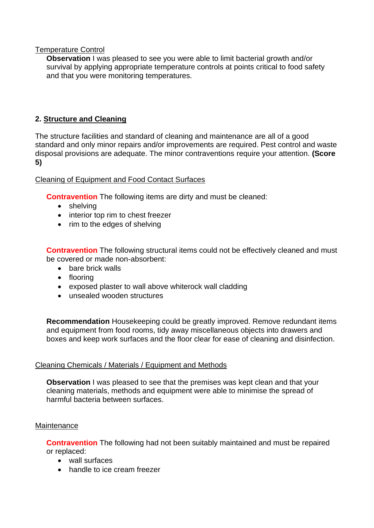### Temperature Control

**Observation** I was pleased to see you were able to limit bacterial growth and/or survival by applying appropriate temperature controls at points critical to food safety and that you were monitoring temperatures.

## **2. Structure and Cleaning**

 The structure facilities and standard of cleaning and maintenance are all of a good standard and only minor repairs and/or improvements are required. Pest control and waste disposal provisions are adequate. The minor contraventions require your attention. **(Score 5)** 

## Cleaning of Equipment and Food Contact Surfaces

**Contravention** The following items are dirty and must be cleaned:

- shelving
- interior top rim to chest freezer
- rim to the edges of shelving

**Contravention** The following structural items could not be effectively cleaned and must be covered or made non-absorbent:

- bare brick walls
- flooring
- exposed plaster to wall above whiterock wall cladding
- unsealed wooden structures

**Recommendation** Housekeeping could be greatly improved. Remove redundant items and equipment from food rooms, tidy away miscellaneous objects into drawers and boxes and keep work surfaces and the floor clear for ease of cleaning and disinfection.

## Cleaning Chemicals / Materials / Equipment and Methods

**Observation** I was pleased to see that the premises was kept clean and that your cleaning materials, methods and equipment were able to minimise the spread of harmful bacteria between surfaces.

### **Maintenance**

**Contravention** The following had not been suitably maintained and must be repaired or replaced:

- wall surfaces
- handle to ice cream freezer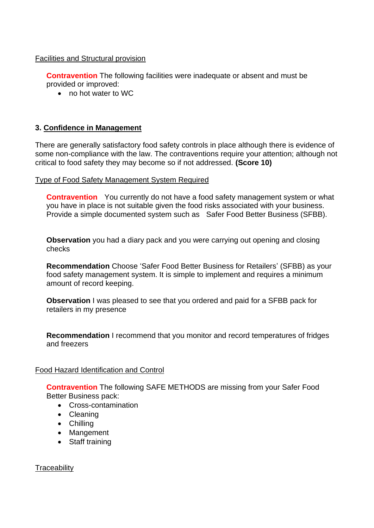### Facilities and Structural provision

**Contravention** The following facilities were inadequate or absent and must be provided or improved:

• no hot water to WC

### **3. Confidence in Management**

 There are generally satisfactory food safety controls in place although there is evidence of some non-compliance with the law. The contraventions require your attention; although not critical to food safety they may become so if not addressed. **(Score 10)** 

#### Type of Food Safety Management System Required

**Contravention** You currently do not have a food safety management system or what you have in place is not suitable given the food risks associated with your business. Provide a simple documented system such as Safer Food Better Business (SFBB).

**Observation** you had a diary pack and you were carrying out opening and closing checks

 food safety management system. It is simple to implement and requires a minimum **Recommendation** Choose 'Safer Food Better Business for Retailers' (SFBB) as your amount of record keeping.

**Observation** I was pleased to see that you ordered and paid for a SFBB pack for retailers in my presence

**Recommendation** I recommend that you monitor and record temperatures of fridges and freezers

#### Food Hazard Identification and Control

**Contravention** The following SAFE METHODS are missing from your Safer Food Better Business pack:

- Cross-contamination
- Cleaning
- Chilling
- Mangement
- Staff training

**Traceability**